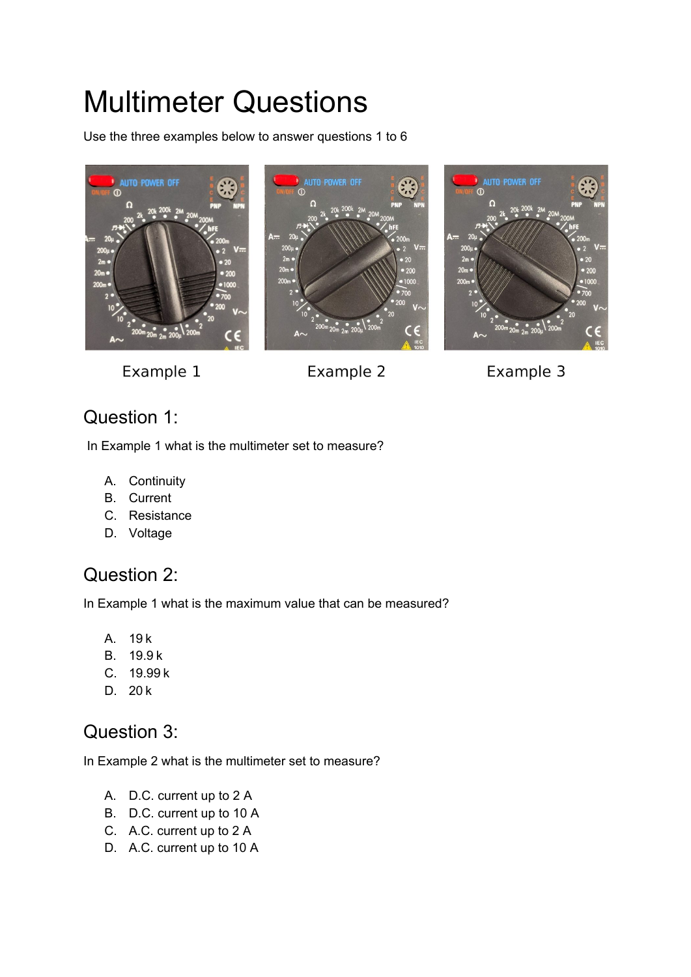# Multimeter Questions

Use the three examples below to answer questions 1 to 6







Example 1

Example 2



#### Question 1:

In Example 1 what is the multimeter set to measure?

- A. Continuity
- B. Current
- C. Resistance
- D. Voltage

#### Question 2:

In Example 1 what is the maximum value that can be measured?

- A. 19 k
- B. 19.9 k
- C. 19.99 k
- D. 20 k

#### Question 3:

In Example 2 what is the multimeter set to measure?

- A. D.C. current up to 2 A
- B. D.C. current up to 10 A
- C. A.C. current up to 2 A
- D. A.C. current up to 10 A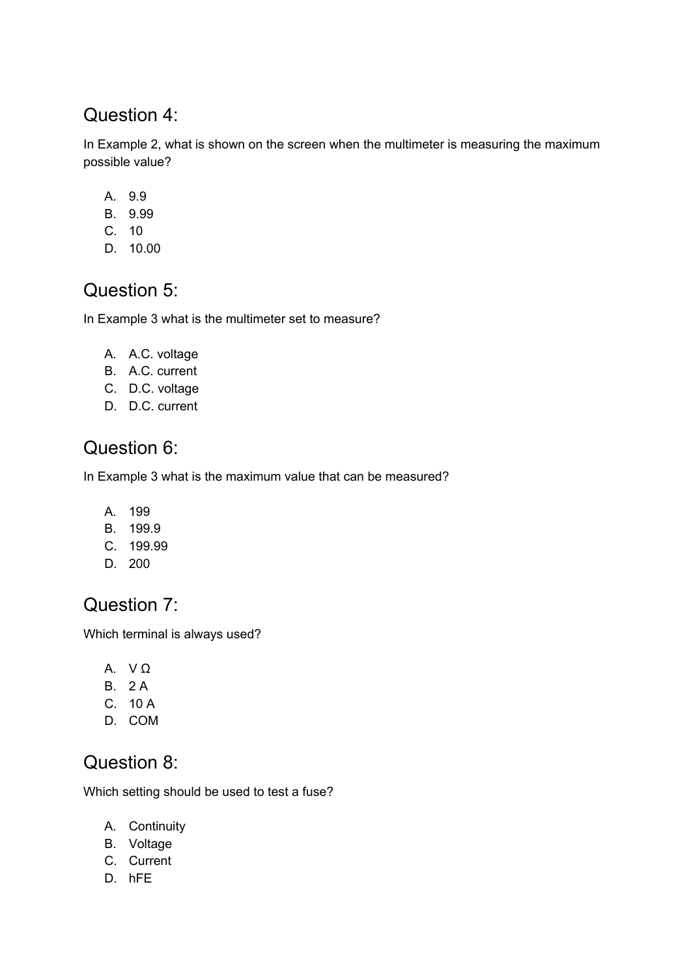#### Question 4:

In Example 2, what is shown on the screen when the multimeter is measuring the maximum possible value?

- A. 9.9
- B. 9.99
- C. 10
- D. 10.00

#### Question 5:

In Example 3 what is the multimeter set to measure?

- A. A.C. voltage
- B. A.C. current
- C. D.C. voltage
- D. D.C. current

#### Question 6:

In Example 3 what is the maximum value that can be measured?

- A. 199
- B. 199.9
- C. 199.99
- D. 200

#### Question 7:

Which terminal is always used?

- A. V Ω
- B. 2 A
- C. 10 A
- D. COM

#### Question 8:

Which setting should be used to test a fuse?

- A. Continuity
- B. Voltage
- C. Current
- D. hFE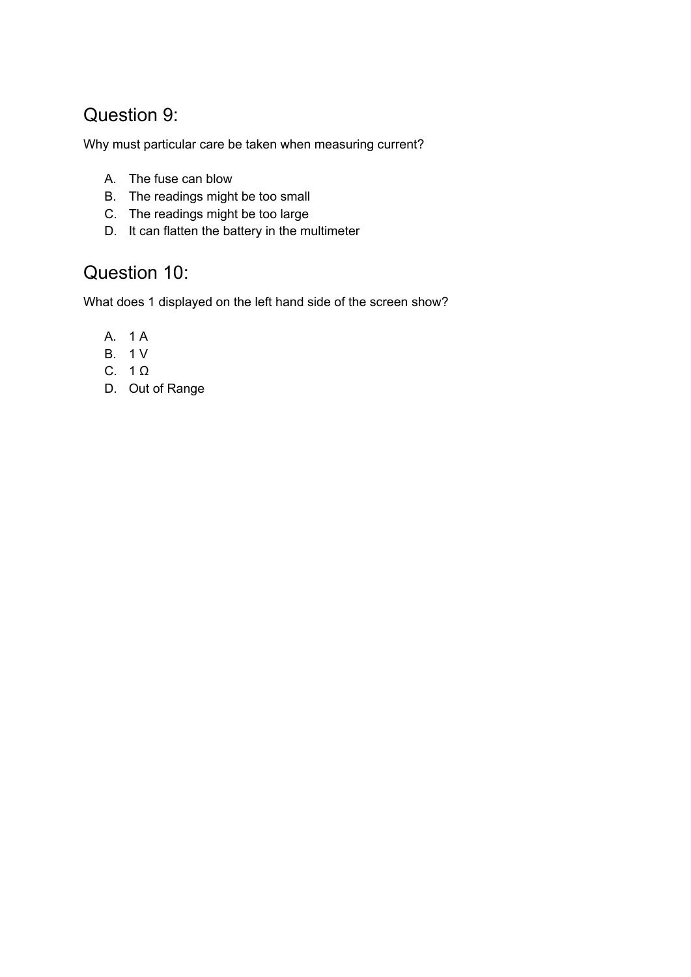#### Question 9:

Why must particular care be taken when measuring current?

- A. The fuse can blow
- B. The readings might be too small
- C. The readings might be too large
- D. It can flatten the battery in the multimeter

#### Question 10:

What does 1 displayed on the left hand side of the screen show?

- A. 1 A
- B. 1 V
- C. 1 Ω
- D. Out of Range